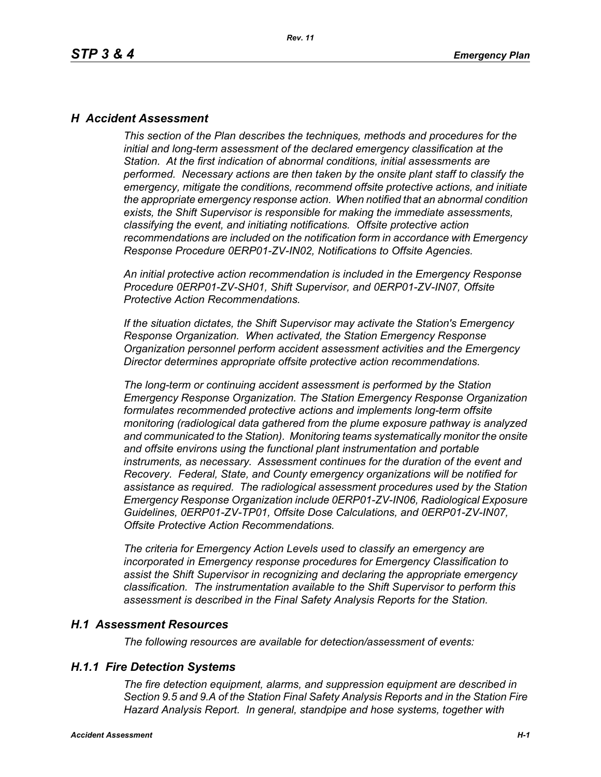### *H Accident Assessment*

*This section of the Plan describes the techniques, methods and procedures for the initial and long-term assessment of the declared emergency classification at the Station. At the first indication of abnormal conditions, initial assessments are performed. Necessary actions are then taken by the onsite plant staff to classify the emergency, mitigate the conditions, recommend offsite protective actions, and initiate the appropriate emergency response action. When notified that an abnormal condition exists, the Shift Supervisor is responsible for making the immediate assessments, classifying the event, and initiating notifications. Offsite protective action recommendations are included on the notification form in accordance with Emergency Response Procedure 0ERP01-ZV-IN02, Notifications to Offsite Agencies.*

*An initial protective action recommendation is included in the Emergency Response Procedure 0ERP01-ZV-SH01, Shift Supervisor, and 0ERP01-ZV-IN07, Offsite Protective Action Recommendations.*

*If the situation dictates, the Shift Supervisor may activate the Station's Emergency Response Organization. When activated, the Station Emergency Response Organization personnel perform accident assessment activities and the Emergency Director determines appropriate offsite protective action recommendations.*

*The long-term or continuing accident assessment is performed by the Station Emergency Response Organization. The Station Emergency Response Organization formulates recommended protective actions and implements long-term offsite monitoring (radiological data gathered from the plume exposure pathway is analyzed and communicated to the Station). Monitoring teams systematically monitor the onsite and offsite environs using the functional plant instrumentation and portable instruments, as necessary. Assessment continues for the duration of the event and Recovery. Federal, State, and County emergency organizations will be notified for assistance as required. The radiological assessment procedures used by the Station Emergency Response Organization include 0ERP01-ZV-IN06, Radiological Exposure Guidelines, 0ERP01-ZV-TP01, Offsite Dose Calculations, and 0ERP01-ZV-IN07, Offsite Protective Action Recommendations.*

*The criteria for Emergency Action Levels used to classify an emergency are incorporated in Emergency response procedures for Emergency Classification to assist the Shift Supervisor in recognizing and declaring the appropriate emergency classification. The instrumentation available to the Shift Supervisor to perform this assessment is described in the Final Safety Analysis Reports for the Station.*

### *H.1 Assessment Resources*

*The following resources are available for detection/assessment of events:*

### *H.1.1 Fire Detection Systems*

*The fire detection equipment, alarms, and suppression equipment are described in Section 9.5 and 9.A of the Station Final Safety Analysis Reports and in the Station Fire Hazard Analysis Report. In general, standpipe and hose systems, together with*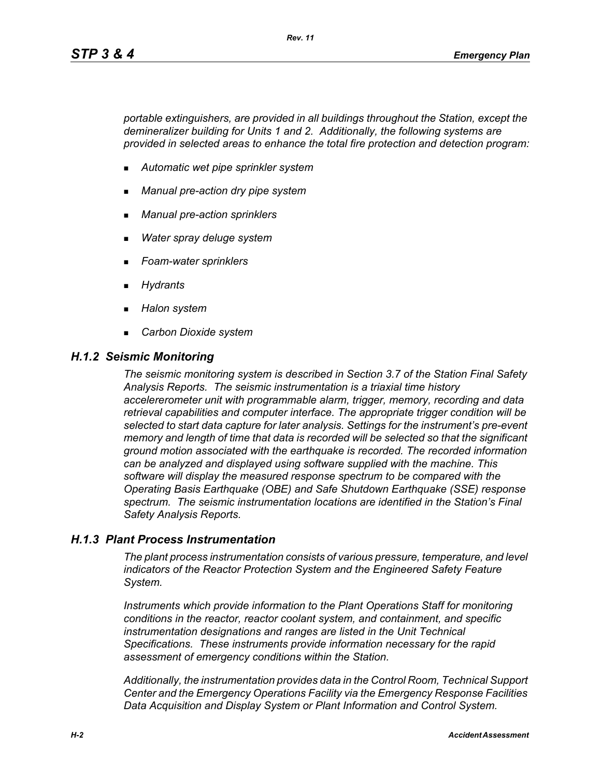*portable extinguishers, are provided in all buildings throughout the Station, except the demineralizer building for Units 1 and 2. Additionally, the following systems are provided in selected areas to enhance the total fire protection and detection program:*

- *Automatic wet pipe sprinkler system*
- *Manual pre-action dry pipe system*
- *Manual pre-action sprinklers*
- *Water spray deluge system*
- *Foam-water sprinklers*
- *Hydrants*
- *Halon system*
- *Carbon Dioxide system*

#### *H.1.2 Seismic Monitoring*

*The seismic monitoring system is described in Section 3.7 of the Station Final Safety Analysis Reports. The seismic instrumentation is a triaxial time history accelererometer unit with programmable alarm, trigger, memory, recording and data retrieval capabilities and computer interface. The appropriate trigger condition will be selected to start data capture for later analysis. Settings for the instrument's pre-event memory and length of time that data is recorded will be selected so that the significant ground motion associated with the earthquake is recorded. The recorded information can be analyzed and displayed using software supplied with the machine. This software will display the measured response spectrum to be compared with the Operating Basis Earthquake (OBE) and Safe Shutdown Earthquake (SSE) response spectrum. The seismic instrumentation locations are identified in the Station's Final Safety Analysis Reports.*

### *H.1.3 Plant Process Instrumentation*

*The plant process instrumentation consists of various pressure, temperature, and level indicators of the Reactor Protection System and the Engineered Safety Feature System.*

*Instruments which provide information to the Plant Operations Staff for monitoring conditions in the reactor, reactor coolant system, and containment, and specific instrumentation designations and ranges are listed in the Unit Technical Specifications. These instruments provide information necessary for the rapid assessment of emergency conditions within the Station.*

*Additionally, the instrumentation provides data in the Control Room, Technical Support Center and the Emergency Operations Facility via the Emergency Response Facilities Data Acquisition and Display System or Plant Information and Control System.*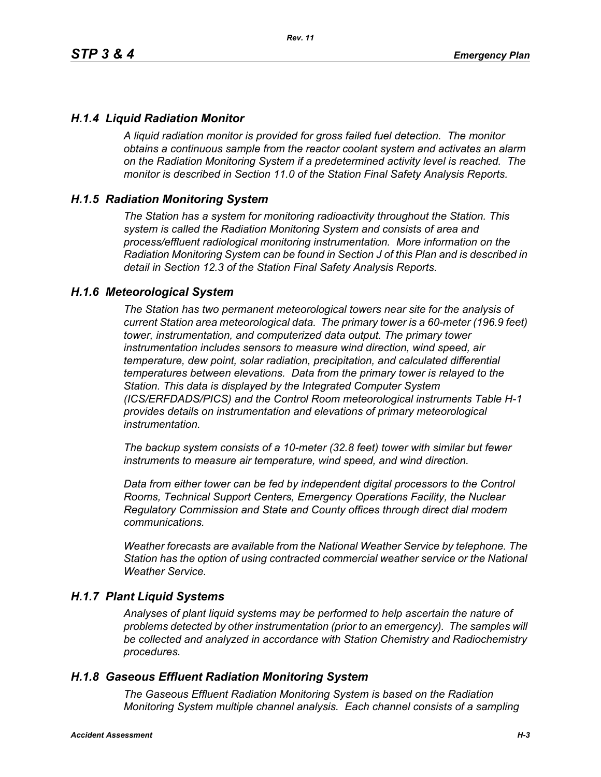### *H.1.4 Liquid Radiation Monitor*

*A liquid radiation monitor is provided for gross failed fuel detection. The monitor obtains a continuous sample from the reactor coolant system and activates an alarm on the Radiation Monitoring System if a predetermined activity level is reached. The monitor is described in Section 11.0 of the Station Final Safety Analysis Reports.*

### *H.1.5 Radiation Monitoring System*

*The Station has a system for monitoring radioactivity throughout the Station. This system is called the Radiation Monitoring System and consists of area and process/effluent radiological monitoring instrumentation. More information on the Radiation Monitoring System can be found in Section J of this Plan and is described in detail in Section 12.3 of the Station Final Safety Analysis Reports.*

#### *H.1.6 Meteorological System*

*The Station has two permanent meteorological towers near site for the analysis of current Station area meteorological data. The primary tower is a 60-meter (196.9 feet) tower, instrumentation, and computerized data output. The primary tower instrumentation includes sensors to measure wind direction, wind speed, air temperature, dew point, solar radiation, precipitation, and calculated differential temperatures between elevations. Data from the primary tower is relayed to the Station. This data is displayed by the Integrated Computer System (ICS/ERFDADS/PICS) and the Control Room meteorological instruments Table H-1 provides details on instrumentation and elevations of primary meteorological instrumentation.*

*The backup system consists of a 10-meter (32.8 feet) tower with similar but fewer instruments to measure air temperature, wind speed, and wind direction.*

*Data from either tower can be fed by independent digital processors to the Control Rooms, Technical Support Centers, Emergency Operations Facility, the Nuclear Regulatory Commission and State and County offices through direct dial modem communications.* 

*Weather forecasts are available from the National Weather Service by telephone. The Station has the option of using contracted commercial weather service or the National Weather Service.*

### *H.1.7 Plant Liquid Systems*

*Analyses of plant liquid systems may be performed to help ascertain the nature of problems detected by other instrumentation (prior to an emergency). The samples will be collected and analyzed in accordance with Station Chemistry and Radiochemistry procedures.*

### *H.1.8 Gaseous Effluent Radiation Monitoring System*

*The Gaseous Effluent Radiation Monitoring System is based on the Radiation Monitoring System multiple channel analysis. Each channel consists of a sampling*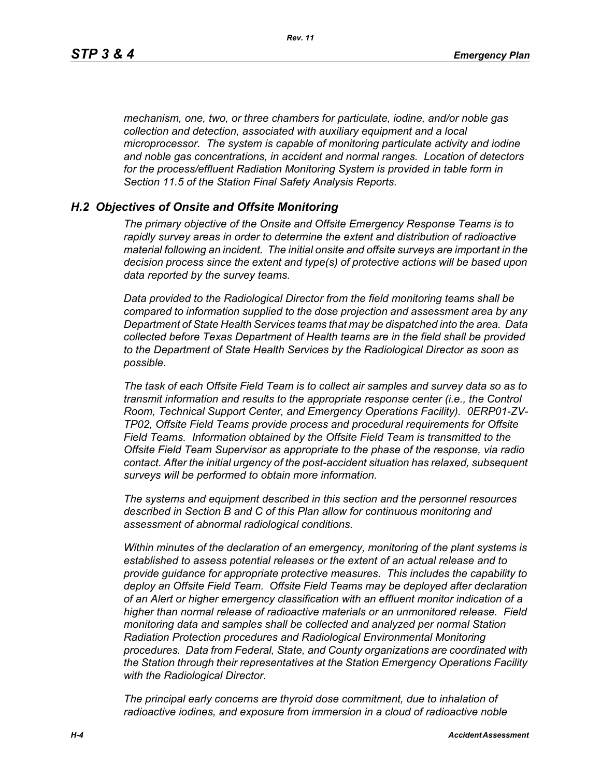*mechanism, one, two, or three chambers for particulate, iodine, and/or noble gas collection and detection, associated with auxiliary equipment and a local microprocessor. The system is capable of monitoring particulate activity and iodine and noble gas concentrations, in accident and normal ranges. Location of detectors for the process/effluent Radiation Monitoring System is provided in table form in Section 11.5 of the Station Final Safety Analysis Reports.* 

### *H.2 Objectives of Onsite and Offsite Monitoring*

*The primary objective of the Onsite and Offsite Emergency Response Teams is to rapidly survey areas in order to determine the extent and distribution of radioactive material following an incident. The initial onsite and offsite surveys are important in the decision process since the extent and type(s) of protective actions will be based upon data reported by the survey teams.*

*Data provided to the Radiological Director from the field monitoring teams shall be compared to information supplied to the dose projection and assessment area by any Department of State Health Services teams that may be dispatched into the area. Data collected before Texas Department of Health teams are in the field shall be provided to the Department of State Health Services by the Radiological Director as soon as possible.*

*The task of each Offsite Field Team is to collect air samples and survey data so as to transmit information and results to the appropriate response center (i.e., the Control Room, Technical Support Center, and Emergency Operations Facility). 0ERP01-ZV-TP02, Offsite Field Teams provide process and procedural requirements for Offsite Field Teams. Information obtained by the Offsite Field Team is transmitted to the Offsite Field Team Supervisor as appropriate to the phase of the response, via radio contact. After the initial urgency of the post-accident situation has relaxed, subsequent surveys will be performed to obtain more information.*

*The systems and equipment described in this section and the personnel resources described in Section B and C of this Plan allow for continuous monitoring and assessment of abnormal radiological conditions.*

*Within minutes of the declaration of an emergency, monitoring of the plant systems is established to assess potential releases or the extent of an actual release and to provide guidance for appropriate protective measures. This includes the capability to deploy an Offsite Field Team. Offsite Field Teams may be deployed after declaration of an Alert or higher emergency classification with an effluent monitor indication of a higher than normal release of radioactive materials or an unmonitored release. Field monitoring data and samples shall be collected and analyzed per normal Station Radiation Protection procedures and Radiological Environmental Monitoring procedures. Data from Federal, State, and County organizations are coordinated with the Station through their representatives at the Station Emergency Operations Facility with the Radiological Director.*

*The principal early concerns are thyroid dose commitment, due to inhalation of radioactive iodines, and exposure from immersion in a cloud of radioactive noble*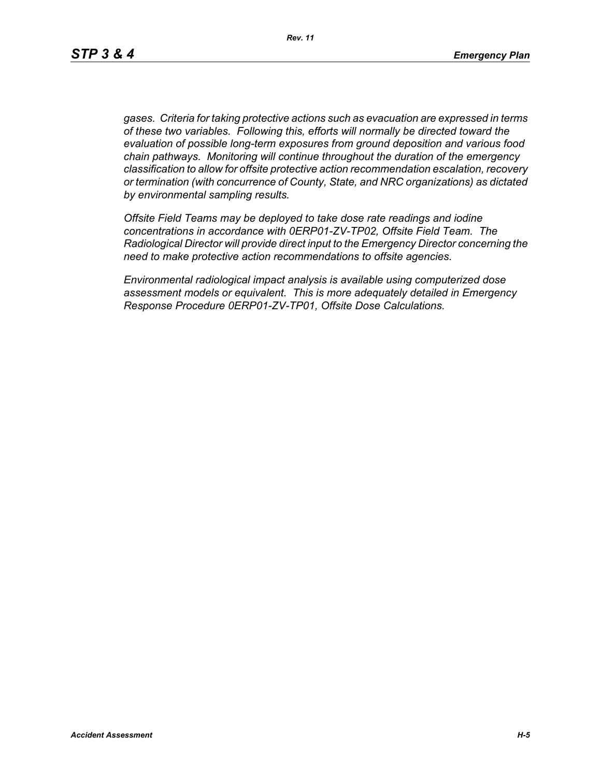*gases. Criteria for taking protective actions such as evacuation are expressed in terms of these two variables. Following this, efforts will normally be directed toward the evaluation of possible long-term exposures from ground deposition and various food chain pathways. Monitoring will continue throughout the duration of the emergency classification to allow for offsite protective action recommendation escalation, recovery or termination (with concurrence of County, State, and NRC organizations) as dictated by environmental sampling results.*

*Offsite Field Teams may be deployed to take dose rate readings and iodine concentrations in accordance with 0ERP01-ZV-TP02, Offsite Field Team. The Radiological Director will provide direct input to the Emergency Director concerning the need to make protective action recommendations to offsite agencies.* 

*Environmental radiological impact analysis is available using computerized dose assessment models or equivalent. This is more adequately detailed in Emergency Response Procedure 0ERP01-ZV-TP01, Offsite Dose Calculations.*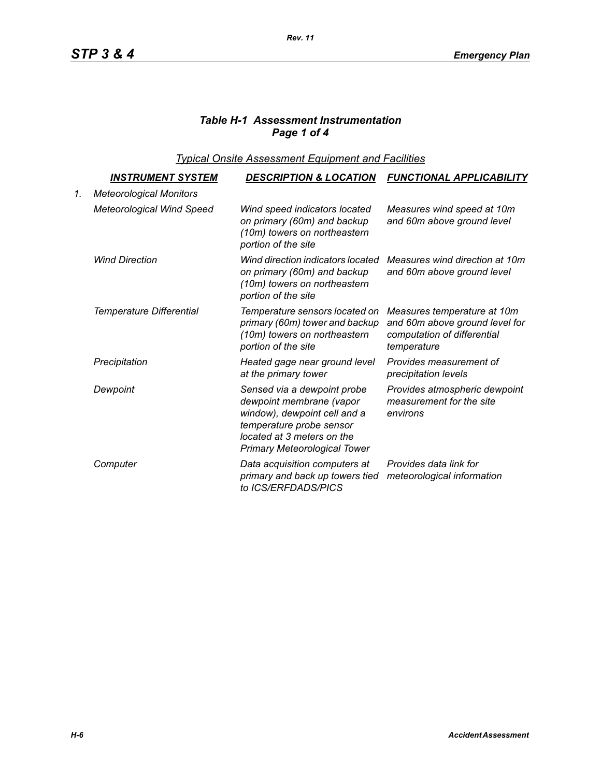# *Table H-1 Assessment Instrumentation Page 1 of 4*

*Typical Onsite Assessment Equipment and Facilities*

|    | <u>INSTRUMENT SYSTEM</u>         | <b>DESCRIPTION &amp; LOCATION</b>                                                                                                                                                        | <b>FUNCTIONAL APPLICABILITY</b>                                                                             |
|----|----------------------------------|------------------------------------------------------------------------------------------------------------------------------------------------------------------------------------------|-------------------------------------------------------------------------------------------------------------|
| 1. | <b>Meteorological Monitors</b>   |                                                                                                                                                                                          |                                                                                                             |
|    | <b>Meteorological Wind Speed</b> | Wind speed indicators located<br>on primary (60m) and backup<br>(10m) towers on northeastern<br>portion of the site                                                                      | Measures wind speed at 10m<br>and 60m above ground level                                                    |
|    | <b>Wind Direction</b>            | Wind direction indicators located<br>on primary (60m) and backup<br>(10m) towers on northeastern<br>portion of the site                                                                  | Measures wind direction at 10m<br>and 60m above ground level                                                |
|    | Temperature Differential         | Temperature sensors located on<br>primary (60m) tower and backup<br>(10m) towers on northeastern<br>portion of the site                                                                  | Measures temperature at 10m<br>and 60m above ground level for<br>computation of differential<br>temperature |
|    | Precipitation                    | Heated gage near ground level<br>at the primary tower                                                                                                                                    | Provides measurement of<br>precipitation levels                                                             |
|    | Dewpoint                         | Sensed via a dewpoint probe<br>dewpoint membrane (vapor<br>window), dewpoint cell and a<br>temperature probe sensor<br>located at 3 meters on the<br><b>Primary Meteorological Tower</b> | Provides atmospheric dewpoint<br>measurement for the site<br>environs                                       |
|    | Computer                         | Data acquisition computers at<br>primary and back up towers tied<br>to ICS/ERFDADS/PICS                                                                                                  | Provides data link for<br>meteorological information                                                        |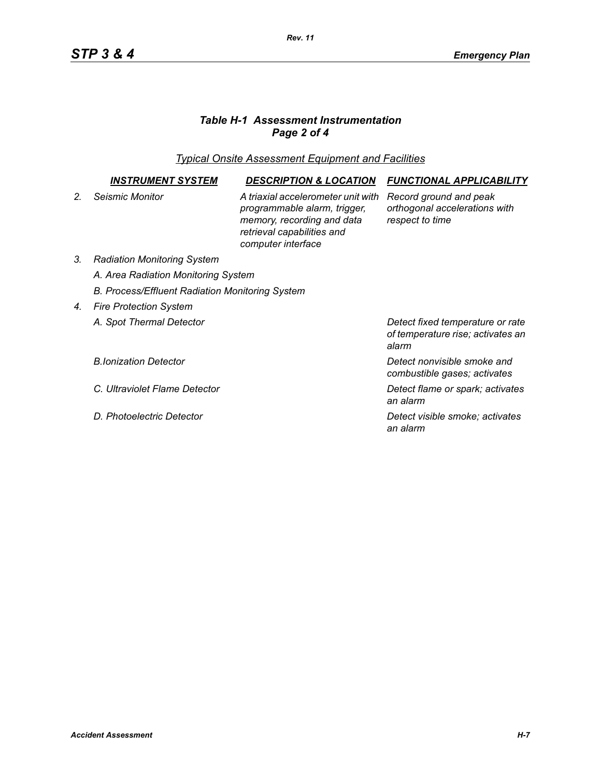# *Table H-1 Assessment Instrumentation Page 2 of 4*

*Typical Onsite Assessment Equipment and Facilities*

|                | INSTRUMENT SYSTEM                                      | <b>DESCRIPTION &amp; LOCATION</b>                                                                                                                    | <b>FUNCTIONAL APPLICABILITY</b>                                                |  |  |
|----------------|--------------------------------------------------------|------------------------------------------------------------------------------------------------------------------------------------------------------|--------------------------------------------------------------------------------|--|--|
| 2 <sub>1</sub> | Seismic Monitor                                        | A triaxial accelerometer unit with<br>programmable alarm, trigger,<br>memory, recording and data<br>retrieval capabilities and<br>computer interface | Record ground and peak<br>orthogonal accelerations with<br>respect to time     |  |  |
| 3.             | <b>Radiation Monitoring System</b>                     |                                                                                                                                                      |                                                                                |  |  |
|                | A. Area Radiation Monitoring System                    |                                                                                                                                                      |                                                                                |  |  |
|                | <b>B. Process/Effluent Radiation Monitoring System</b> |                                                                                                                                                      |                                                                                |  |  |
| 4.             | <b>Fire Protection System</b>                          |                                                                                                                                                      |                                                                                |  |  |
|                | A. Spot Thermal Detector                               |                                                                                                                                                      | Detect fixed temperature or rate<br>of temperature rise; activates an<br>alarm |  |  |
|                | <b>B.Ionization Detector</b>                           |                                                                                                                                                      | Detect nonvisible smoke and<br>combustible gases; activates                    |  |  |
|                | C. Ultraviolet Flame Detector                          |                                                                                                                                                      | Detect flame or spark; activates<br>an alarm                                   |  |  |
|                | D. Photoelectric Detector                              |                                                                                                                                                      | Detect visible smoke; activates<br>an alarm                                    |  |  |

*Rev. 11*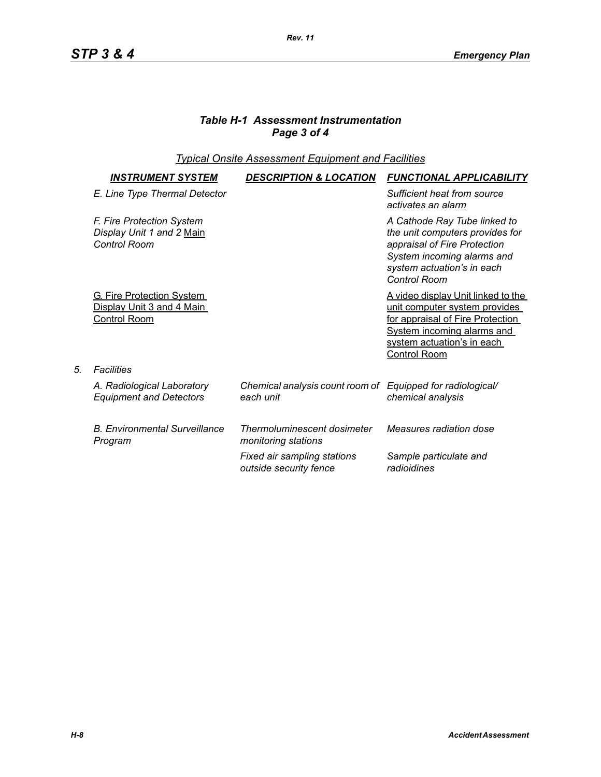# *Table H-1 Assessment Instrumentation Page 3 of 4*

## *Typical Onsite Assessment Equipment and Facilities*

| <b>INSTRUMENT SYSTEM</b>                                                             | <b>DESCRIPTION &amp; LOCATION</b>                                       | <b>FUNCTIONAL APPLICABILITY</b>                                                                                                                                                            |
|--------------------------------------------------------------------------------------|-------------------------------------------------------------------------|--------------------------------------------------------------------------------------------------------------------------------------------------------------------------------------------|
| E. Line Type Thermal Detector                                                        |                                                                         | Sufficient heat from source<br>activates an alarm                                                                                                                                          |
| F. Fire Protection System<br>Display Unit 1 and 2 Main<br><b>Control Room</b>        |                                                                         | A Cathode Ray Tube linked to<br>the unit computers provides for<br>appraisal of Fire Protection<br>System incoming alarms and<br>system actuation's in each<br><b>Control Room</b>         |
| <b>G. Fire Protection System</b><br>Display Unit 3 and 4 Main<br><b>Control Room</b> |                                                                         | A video display Unit linked to the<br>unit computer system provides<br>for appraisal of Fire Protection<br>System incoming alarms and<br>system actuation's in each<br><b>Control Room</b> |
| <b>Facilities</b>                                                                    |                                                                         |                                                                                                                                                                                            |
| A. Radiological Laboratory<br><b>Equipment and Detectors</b>                         | Chemical analysis count room of Equipped for radiological/<br>each unit | chemical analysis                                                                                                                                                                          |
| <b>B. Environmental Surveillance</b><br>Program                                      | Thermoluminescent dosimeter<br>monitoring stations                      | Measures radiation dose                                                                                                                                                                    |
|                                                                                      | Fixed air sampling stations<br>outside security fence                   | Sample particulate and<br>radioidines                                                                                                                                                      |

*5. Facilities*